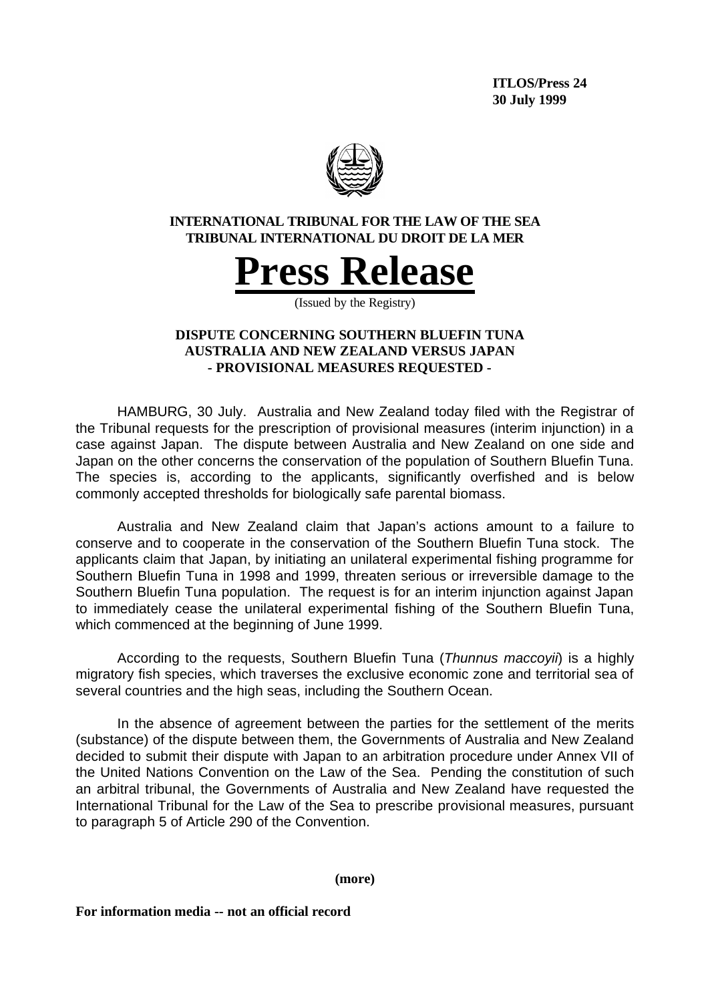**ITLOS/Press 24 30 July 1999**



## **INTERNATIONAL TRIBUNAL FOR THE LAW OF THE SEA TRIBUNAL INTERNATIONAL DU DROIT DE LA MER**



(Issued by the Registry)

# **DISPUTE CONCERNING SOUTHERN BLUEFIN TUNA AUSTRALIA AND NEW ZEALAND VERSUS JAPAN - PROVISIONAL MEASURES REQUESTED -**

HAMBURG, 30 July. Australia and New Zealand today filed with the Registrar of the Tribunal requests for the prescription of provisional measures (interim injunction) in a case against Japan. The dispute between Australia and New Zealand on one side and Japan on the other concerns the conservation of the population of Southern Bluefin Tuna. The species is, according to the applicants, significantly overfished and is below commonly accepted thresholds for biologically safe parental biomass.

Australia and New Zealand claim that Japan's actions amount to a failure to conserve and to cooperate in the conservation of the Southern Bluefin Tuna stock. The applicants claim that Japan, by initiating an unilateral experimental fishing programme for Southern Bluefin Tuna in 1998 and 1999, threaten serious or irreversible damage to the Southern Bluefin Tuna population. The request is for an interim injunction against Japan to immediately cease the unilateral experimental fishing of the Southern Bluefin Tuna, which commenced at the beginning of June 1999.

According to the requests, Southern Bluefin Tuna (*Thunnus maccoyii*) is a highly migratory fish species, which traverses the exclusive economic zone and territorial sea of several countries and the high seas, including the Southern Ocean.

In the absence of agreement between the parties for the settlement of the merits (substance) of the dispute between them, the Governments of Australia and New Zealand decided to submit their dispute with Japan to an arbitration procedure under Annex VII of the United Nations Convention on the Law of the Sea. Pending the constitution of such an arbitral tribunal, the Governments of Australia and New Zealand have requested the International Tribunal for the Law of the Sea to prescribe provisional measures, pursuant to paragraph 5 of Article 290 of the Convention.

**(more)**

**For information media -- not an official record**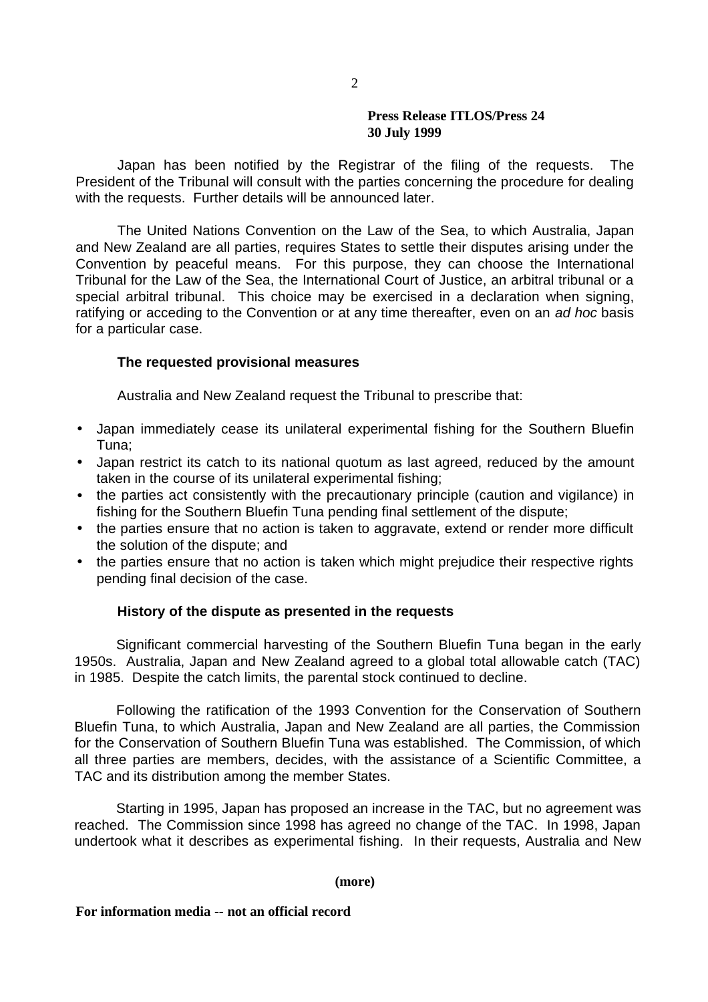### **Press Release ITLOS/Press 24 30 July 1999**

Japan has been notified by the Registrar of the filing of the requests. The President of the Tribunal will consult with the parties concerning the procedure for dealing with the requests. Further details will be announced later.

The United Nations Convention on the Law of the Sea, to which Australia, Japan and New Zealand are all parties, requires States to settle their disputes arising under the Convention by peaceful means. For this purpose, they can choose the International Tribunal for the Law of the Sea, the International Court of Justice, an arbitral tribunal or a special arbitral tribunal. This choice may be exercised in a declaration when signing, ratifying or acceding to the Convention or at any time thereafter, even on an *ad hoc* basis for a particular case.

## **The requested provisional measures**

Australia and New Zealand request the Tribunal to prescribe that:

- Japan immediately cease its unilateral experimental fishing for the Southern Bluefin Tuna;
- Japan restrict its catch to its national quotum as last agreed, reduced by the amount taken in the course of its unilateral experimental fishing;
- the parties act consistently with the precautionary principle (caution and vigilance) in fishing for the Southern Bluefin Tuna pending final settlement of the dispute;
- the parties ensure that no action is taken to aggravate, extend or render more difficult the solution of the dispute; and
- the parties ensure that no action is taken which might prejudice their respective rights pending final decision of the case.

### **History of the dispute as presented in the requests**

Significant commercial harvesting of the Southern Bluefin Tuna began in the early 1950s. Australia, Japan and New Zealand agreed to a global total allowable catch (TAC) in 1985. Despite the catch limits, the parental stock continued to decline.

Following the ratification of the 1993 Convention for the Conservation of Southern Bluefin Tuna, to which Australia, Japan and New Zealand are all parties, the Commission for the Conservation of Southern Bluefin Tuna was established. The Commission, of which all three parties are members, decides, with the assistance of a Scientific Committee, a TAC and its distribution among the member States.

Starting in 1995, Japan has proposed an increase in the TAC, but no agreement was reached. The Commission since 1998 has agreed no change of the TAC. In 1998, Japan undertook what it describes as experimental fishing. In their requests, Australia and New

#### **(more)**

### **For information media -- not an official record**